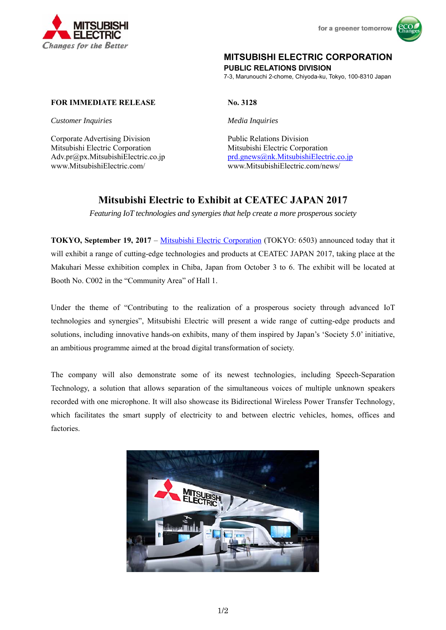



# **MITSUBISHI ELECTRIC CORPORATION**

**PUBLIC RELATIONS DIVISION** 

7-3, Marunouchi 2-chome, Chiyoda-ku, Tokyo, 100-8310 Japan

## **FOR IMMEDIATE RELEASE No. 3128**

*Customer Inquiries Media Inquiries* 

Corporate Advertising Division<br>
Public Relations Division Mitsubishi Electric Corporation Mitsubishi Electric Corporation www.MitsubishiElectric.com/ www.MitsubishiElectric.com/news/

Adv.pr@px.MitsubishiElectric.co.jp prd.gnews@nk.MitsubishiElectric.co.jp

# **Mitsubishi Electric to Exhibit at CEATEC JAPAN 2017**

*Featuring IoT technologies and synergies that help create a more prosperous society* 

**TOKYO, September 19, 2017** – Mitsubishi Electric Corporation (TOKYO: 6503) announced today that it will exhibit a range of cutting-edge technologies and products at CEATEC JAPAN 2017, taking place at the Makuhari Messe exhibition complex in Chiba, Japan from October 3 to 6. The exhibit will be located at Booth No. C002 in the "Community Area" of Hall 1.

Under the theme of "Contributing to the realization of a prosperous society through advanced IoT technologies and synergies", Mitsubishi Electric will present a wide range of cutting-edge products and solutions, including innovative hands-on exhibits, many of them inspired by Japan's 'Society 5.0' initiative, an ambitious programme aimed at the broad digital transformation of society.

The company will also demonstrate some of its newest technologies, including Speech-Separation Technology, a solution that allows separation of the simultaneous voices of multiple unknown speakers recorded with one microphone. It will also showcase its Bidirectional Wireless Power Transfer Technology, which facilitates the smart supply of electricity to and between electric vehicles, homes, offices and factories.